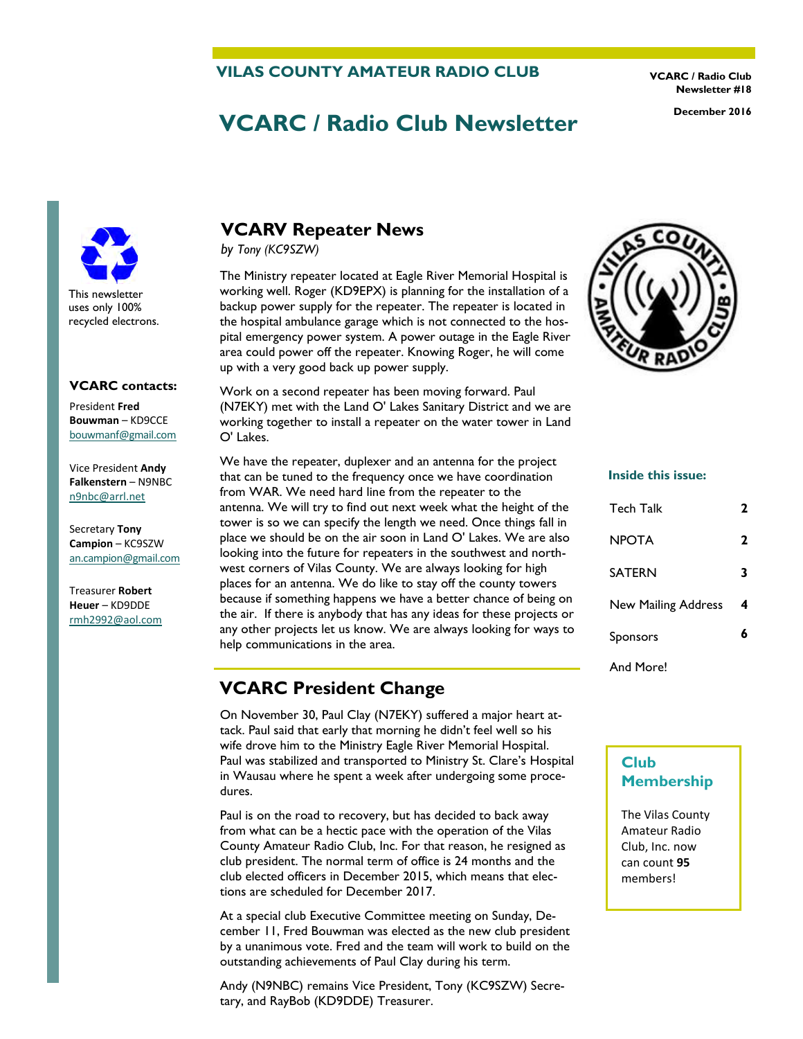#### **VILAS COUNTY AMATEUR RADIO CLUB**

**VCARC / Radio Club Newsletter #18** 

# **VCARC / Radio Club Newsletter December 2016**



#### **VCARC contacts:**

President **Fred Bouwman** – KD9CCE [bouwmanf@gmail.com](mailto:an.campion@gmail.com)

Vice President **Andy Falkenstern** – N9NBC [n9nbc@arrl.net](mailto:n9nbc@arrl.net)

Secretary **Tony Campion** – KC9SZW [an.campion@gmail.com](mailto:an.campion@gmail.com)

Treasurer **Robert Heuer** – KD9DDE rmh2992@aol.com

### **VCARV Repeater News**

*by Tony (KC9SZW)* 

The Ministry repeater located at Eagle River Memorial Hospital is working well. Roger (KD9EPX) is planning for the installation of a backup power supply for the repeater. The repeater is located in the hospital ambulance garage which is not connected to the hospital emergency power system. A power outage in the Eagle River area could power off the repeater. Knowing Roger, he will come up with a very good back up power supply.

Work on a second repeater has been moving forward. Paul (N7EKY) met with the Land O' Lakes Sanitary District and we are working together to install a repeater on the water tower in Land O' Lakes.

We have the repeater, duplexer and an antenna for the project that can be tuned to the frequency once we have coordination from WAR. We need hard line from the repeater to the antenna. We will try to find out next week what the height of the tower is so we can specify the length we need. Once things fall in place we should be on the air soon in Land O' Lakes. We are also looking into the future for repeaters in the southwest and northwest corners of Vilas County. We are always looking for high places for an antenna. We do like to stay off the county towers because if something happens we have a better chance of being on the air. If there is anybody that has any ideas for these projects or any other projects let us know. We are always looking for ways to help communications in the area.

### **VCARC President Change**

On November 30, Paul Clay (N7EKY) suffered a major heart attack. Paul said that early that morning he didn't feel well so his wife drove him to the Ministry Eagle River Memorial Hospital. Paul was stabilized and transported to Ministry St. Clare's Hospital in Wausau where he spent a week after undergoing some procedures.

Paul is on the road to recovery, but has decided to back away from what can be a hectic pace with the operation of the Vilas County Amateur Radio Club, Inc. For that reason, he resigned as club president. The normal term of office is 24 months and the club elected officers in December 2015, which means that elections are scheduled for December 2017.

At a special club Executive Committee meeting on Sunday, December 11, Fred Bouwman was elected as the new club president by a unanimous vote. Fred and the team will work to build on the outstanding achievements of Paul Clay during his term.

Andy (N9NBC) remains Vice President, Tony (KC9SZW) Secretary, and RayBob (KD9DDE) Treasurer.



#### **Inside this issue:**

| <b>Tech Talk</b>    | 2 |
|---------------------|---|
| <b>NPOTA</b>        | 2 |
| <b>SATERN</b>       | 3 |
| New Mailing Address | 4 |
| Sponsors            | 6 |
| And More!           |   |

### **Club Membership**

The Vilas County Amateur Radio Club, Inc. now can count **95** members!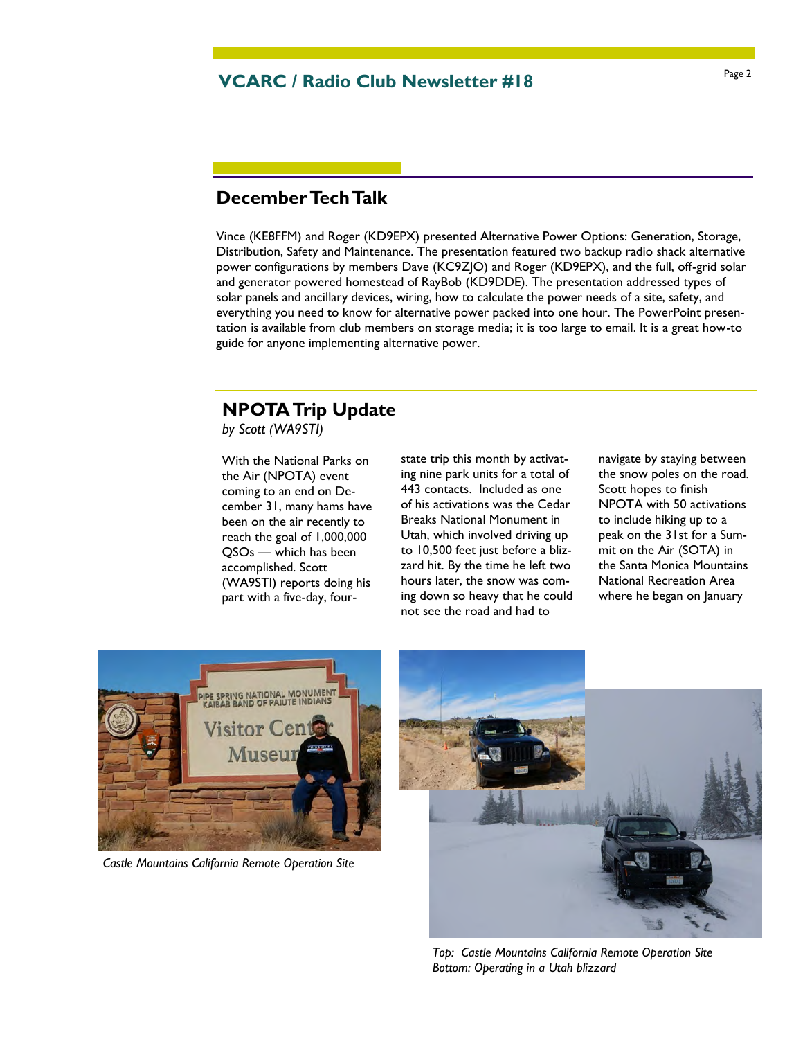## Page 2 **VCARC / Radio Club Newsletter #18**

### **December Tech Talk**

Vince (KE8FFM) and Roger (KD9EPX) presented Alternative Power Options: Generation, Storage, Distribution, Safety and Maintenance. The presentation featured two backup radio shack alternative power configurations by members Dave (KC9ZJO) and Roger (KD9EPX), and the full, off-grid solar and generator powered homestead of RayBob (KD9DDE). The presentation addressed types of solar panels and ancillary devices, wiring, how to calculate the power needs of a site, safety, and everything you need to know for alternative power packed into one hour. The PowerPoint presentation is available from club members on storage media; it is too large to email. It is a great how-to guide for anyone implementing alternative power.

# **NPOTA Trip Update**

*by Scott (WA9STI)*

With the National Parks on the Air (NPOTA) event coming to an end on December 31, many hams have been on the air recently to reach the goal of 1,000,000 QSOs — which has been accomplished. Scott (WA9STI) reports doing his part with a five-day, four-

state trip this month by activating nine park units for a total of 443 contacts. Included as one of his activations was the Cedar Breaks National Monument in Utah, which involved driving up to 10,500 feet just before a blizzard hit. By the time he left two hours later, the snow was coming down so heavy that he could not see the road and had to

navigate by staying between the snow poles on the road. Scott hopes to finish NPOTA with 50 activations to include hiking up to a peak on the 31st for a Summit on the Air (SOTA) in the Santa Monica Mountains National Recreation Area where he began on January



*Castle Mountains California Remote Operation Site* 



*Top: Castle Mountains California Remote Operation Site Bottom: Operating in a Utah blizzard*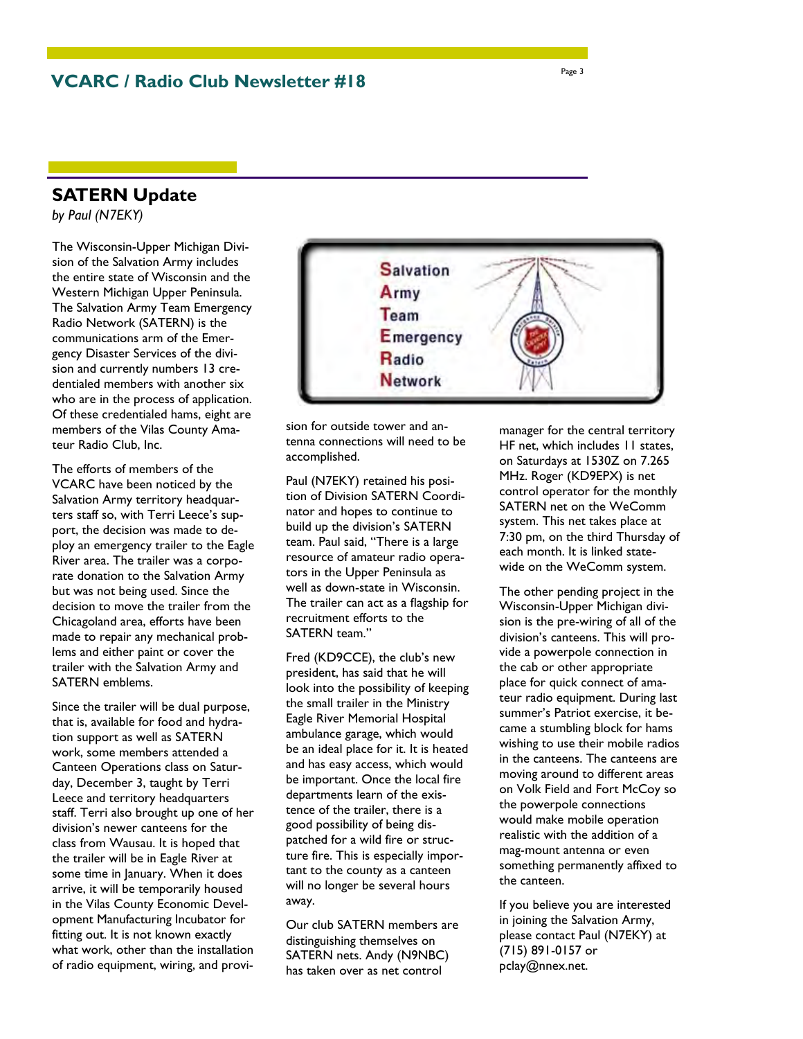### **SATERN Update**

*by Paul (N7EKY)*

The Wisconsin-Upper Michigan Division of the Salvation Army includes the entire state of Wisconsin and the Western Michigan Upper Peninsula. The Salvation Army Team Emergency Radio Network (SATERN) is the communications arm of the Emergency Disaster Services of the division and currently numbers 13 credentialed members with another six who are in the process of application. Of these credentialed hams, eight are members of the Vilas County Amateur Radio Club, Inc.

The efforts of members of the VCARC have been noticed by the Salvation Army territory headquarters staff so, with Terri Leece's support, the decision was made to deploy an emergency trailer to the Eagle River area. The trailer was a corporate donation to the Salvation Army but was not being used. Since the decision to move the trailer from the Chicagoland area, efforts have been made to repair any mechanical problems and either paint or cover the trailer with the Salvation Army and SATERN emblems.

Since the trailer will be dual purpose, that is, available for food and hydration support as well as SATERN work, some members attended a Canteen Operations class on Saturday, December 3, taught by Terri Leece and territory headquarters staff. Terri also brought up one of her division's newer canteens for the class from Wausau. It is hoped that the trailer will be in Eagle River at some time in January. When it does arrive, it will be temporarily housed in the Vilas County Economic Development Manufacturing Incubator for fitting out. It is not known exactly what work, other than the installation of radio equipment, wiring, and provi-



sion for outside tower and antenna connections will need to be accomplished.

Paul (N7EKY) retained his position of Division SATERN Coordinator and hopes to continue to build up the division's SATERN team. Paul said, "There is a large resource of amateur radio operators in the Upper Peninsula as well as down-state in Wisconsin. The trailer can act as a flagship for recruitment efforts to the SATERN team."

Fred (KD9CCE), the club's new president, has said that he will look into the possibility of keeping the small trailer in the Ministry Eagle River Memorial Hospital ambulance garage, which would be an ideal place for it. It is heated and has easy access, which would be important. Once the local fire departments learn of the existence of the trailer, there is a good possibility of being dispatched for a wild fire or structure fire. This is especially important to the county as a canteen will no longer be several hours away.

Our club SATERN members are distinguishing themselves on SATERN nets. Andy (N9NBC) has taken over as net control

manager for the central territory HF net, which includes 11 states, on Saturdays at 1530Z on 7.265 MHz. Roger (KD9EPX) is net control operator for the monthly SATERN net on the WeComm system. This net takes place at 7:30 pm, on the third Thursday of each month. It is linked statewide on the WeComm system.

The other pending project in the Wisconsin-Upper Michigan division is the pre-wiring of all of the division's canteens. This will provide a powerpole connection in the cab or other appropriate place for quick connect of amateur radio equipment. During last summer's Patriot exercise, it became a stumbling block for hams wishing to use their mobile radios in the canteens. The canteens are moving around to different areas on Volk Field and Fort McCoy so the powerpole connections would make mobile operation realistic with the addition of a mag-mount antenna or even something permanently affixed to the canteen.

If you believe you are interested in joining the Salvation Army, please contact Paul (N7EKY) at (715) 891-0157 or pclay@nnex.net.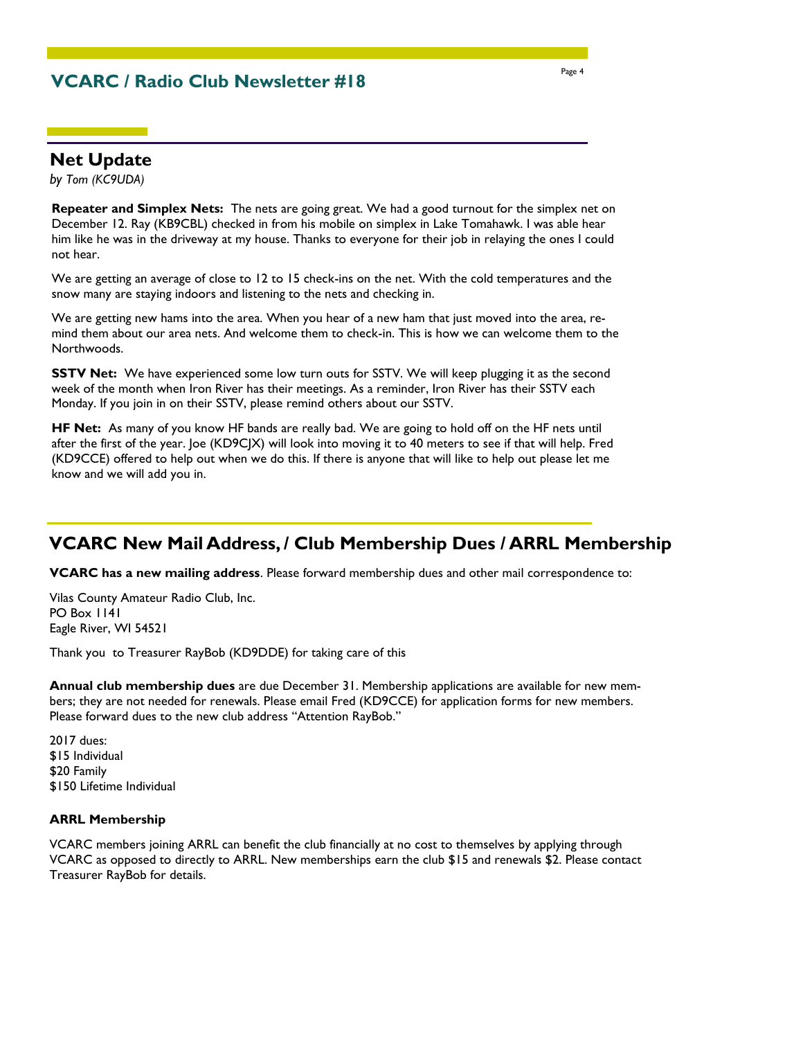### **VCARC / Radio Club Newsletter #18**

### **Net Update**

*by Tom (KC9UDA)*

**Repeater and Simplex Nets:** The nets are going great. We had a good turnout for the simplex net on December 12. Ray (KB9CBL) checked in from his mobile on simplex in Lake Tomahawk. I was able hear him like he was in the driveway at my house. Thanks to everyone for their job in relaying the ones I could not hear.

We are getting an average of close to 12 to 15 check-ins on the net. With the cold temperatures and the snow many are staying indoors and listening to the nets and checking in.

We are getting new hams into the area. When you hear of a new ham that just moved into the area, remind them about our area nets. And welcome them to check-in. This is how we can welcome them to the Northwoods.

**SSTV Net:** We have experienced some low turn outs for SSTV. We will keep plugging it as the second week of the month when Iron River has their meetings. As a reminder, Iron River has their SSTV each Monday. If you join in on their SSTV, please remind others about our SSTV.

**HF Net:** As many of you know HF bands are really bad. We are going to hold off on the HF nets until after the first of the year. Joe (KD9CJX) will look into moving it to 40 meters to see if that will help. Fred (KD9CCE) offered to help out when we do this. If there is anyone that will like to help out please let me know and we will add you in.

### **VCARC New Mail Address, / Club Membership Dues / ARRL Membership**

**VCARC has a new mailing address**. Please forward membership dues and other mail correspondence to:

Vilas County Amateur Radio Club, Inc. PO Box 1141 Eagle River, WI 54521

Thank you to Treasurer RayBob (KD9DDE) for taking care of this

**Annual club membership dues** are due December 31. Membership applications are available for new members; they are not needed for renewals. Please email Fred (KD9CCE) for application forms for new members. Please forward dues to the new club address "Attention RayBob."

2017 dues: \$15 Individual \$20 Family \$150 Lifetime Individual

#### **ARRL Membership**

VCARC members joining ARRL can benefit the club financially at no cost to themselves by applying through VCARC as opposed to directly to ARRL. New memberships earn the club \$15 and renewals \$2. Please contact Treasurer RayBob for details.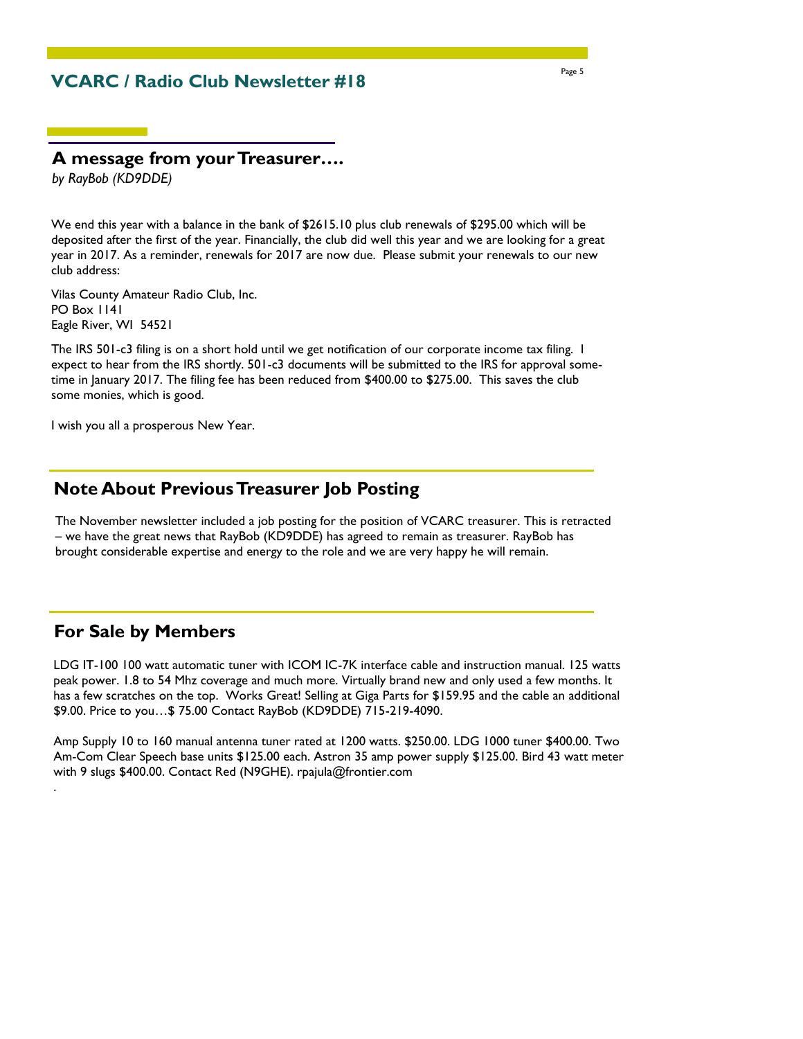### **VCARC / Radio Club Newsletter #18**

### **A message from your Treasurer….**

*by RayBob (KD9DDE)*

We end this year with a balance in the bank of \$2615.10 plus club renewals of \$295.00 which will be deposited after the first of the year. Financially, the club did well this year and we are looking for a great year in 2017. As a reminder, renewals for 2017 are now due. Please submit your renewals to our new club address:

Vilas County Amateur Radio Club, Inc. PO Box 1141 Eagle River, WI 54521

The IRS 501-c3 filing is on a short hold until we get notification of our corporate income tax filing. I expect to hear from the IRS shortly. 501-c3 documents will be submitted to the IRS for approval sometime in January 2017. The filing fee has been reduced from \$400.00 to \$275.00. This saves the club some monies, which is good.

I wish you all a prosperous New Year.

### **Note About Previous Treasurer Job Posting**

The November newsletter included a job posting for the position of VCARC treasurer. This is retracted – we have the great news that RayBob (KD9DDE) has agreed to remain as treasurer. RayBob has brought considerable expertise and energy to the role and we are very happy he will remain.

### **For Sale by Members**

.

LDG IT-100 100 watt automatic tuner with ICOM IC-7K interface cable and instruction manual. 125 watts peak power. 1.8 to 54 Mhz coverage and much more. Virtually brand new and only used a few months. It has a few scratches on the top. Works Great! Selling at Giga Parts for \$159.95 and the cable an additional \$9.00. Price to you…\$ 75.00 Contact RayBob (KD9DDE) 715-219-4090.

Amp Supply 10 to 160 manual antenna tuner rated at 1200 watts. \$250.00. LDG 1000 tuner \$400.00. Two Am-Com Clear Speech base units \$125.00 each. Astron 35 amp power supply \$125.00. Bird 43 watt meter with 9 slugs \$400.00. Contact Red (N9GHE). rpajula@frontier.com